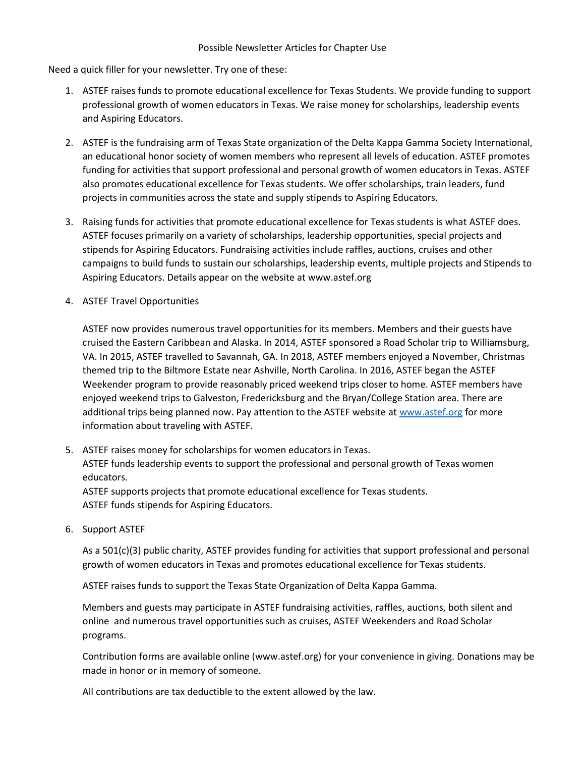Need a quick filler for your newsletter. Try one of these:

- 1. ASTEF raises funds to promote educational excellence for Texas Students. We provide funding to support professional growth of women educators in Texas. We raise money for scholarships, leadership events and Aspiring Educators.
- 2. ASTEF is the fundraising arm of Texas State organization of the Delta Kappa Gamma Society International, an educational honor society of women members who represent all levels of education. ASTEF promotes funding for activities that support professional and personal growth of women educators in Texas. ASTEF also promotes educational excellence for Texas students. We offer scholarships, train leaders, fund projects in communities across the state and supply stipends to Aspiring Educators.
- 3. Raising funds for activities that promote educational excellence for Texas students is what ASTEF does. ASTEF focuses primarily on a variety of scholarships, leadership opportunities, special projects and stipends for Aspiring Educators. Fundraising activities include raffles, auctions, cruises and other campaigns to build funds to sustain our scholarships, leadership events, multiple projects and Stipends to Aspiring Educators. Details appear on the website at www.astef.org
- 4. ASTEF Travel Opportunities

ASTEF now provides numerous travel opportunities for its members. Members and their guests have cruised the Eastern Caribbean and Alaska. In 2014, ASTEF sponsored a Road Scholar trip to Williamsburg, VA. In 2015, ASTEF travelled to Savannah, GA. In 2018, ASTEF members enjoyed a November, Christmas themed trip to the Biltmore Estate near Ashville, North Carolina. In 2016, ASTEF began the ASTEF Weekender program to provide reasonably priced weekend trips closer to home. ASTEF members have enjoyed weekend trips to Galveston, Fredericksburg and the Bryan/College Station area. There are additional trips being planned now. Pay attention to the ASTEF website at [www.astef.org](http://www.astef.org/) for more information about traveling with ASTEF.

- 5. ASTEF raises money for scholarships for women educators in Texas. ASTEF funds leadership events to support the professional and personal growth of Texas women educators. ASTEF supports projects that promote educational excellence for Texas students. ASTEF funds stipends for Aspiring Educators.
	-
- 6. Support ASTEF

As a 501(c)(3) public charity, ASTEF provides funding for activities that support professional and personal growth of women educators in Texas and promotes educational excellence for Texas students.

ASTEF raises funds to support the Texas State Organization of Delta Kappa Gamma.

Members and guests may participate in ASTEF fundraising activities, raffles, auctions, both silent and online and numerous travel opportunities such as cruises, ASTEF Weekenders and Road Scholar programs.

Contribution forms are available online (www.astef.org) for your convenience in giving. Donations may be made in honor or in memory of someone.

All contributions are tax deductible to the extent allowed by the law.